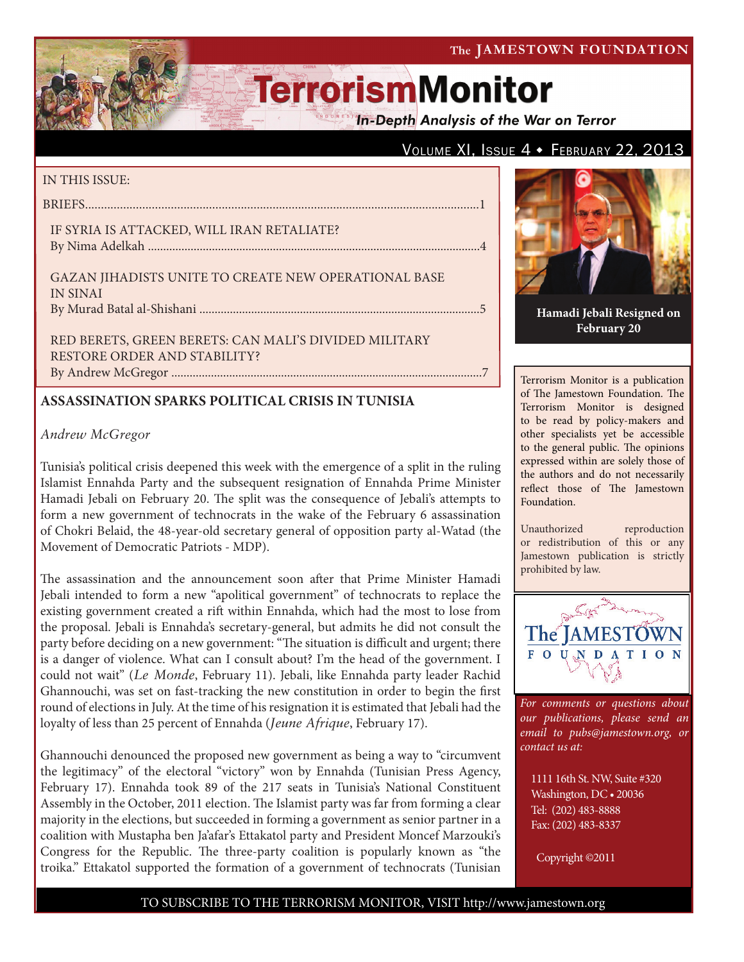#### The JAMESTOWN FOUNDATION

# **TerrorismMonitor**

**In-Depth Analysis of the War on Terror** 

### VOLUME XI, ISSUE  $4 \cdot$  FEBRUARY 22, 2013

#### IN THIS ISSUE:

| IF SYRIA IS ATTACKED, WILL IRAN RETALIATE?           |  |
|------------------------------------------------------|--|
| GAZAN JIHADISTS UNITE TO CREATE NEW OPERATIONAL BASE |  |
| <b>IN SINAI</b>                                      |  |

Red Berets, Green Berets: Can Mali's Divided Military Restore Order and Stability? By Andrew McGregor ......................................................................................................7

#### **ASSASSINATION SPARKS POLITICAL CRISIS IN TUNISIA**

#### *Andrew McGregor*

Tunisia's political crisis deepened this week with the emergence of a split in the ruling Islamist Ennahda Party and the subsequent resignation of Ennahda Prime Minister Hamadi Jebali on February 20. The split was the consequence of Jebali's attempts to form a new government of technocrats in the wake of the February 6 assassination of Chokri Belaid, the 48-year-old secretary general of opposition party al-Watad (the Movement of Democratic Patriots - MDP).

The assassination and the announcement soon after that Prime Minister Hamadi Jebali intended to form a new "apolitical government" of technocrats to replace the existing government created a rift within Ennahda, which had the most to lose from the proposal. Jebali is Ennahda's secretary-general, but admits he did not consult the party before deciding on a new government: "The situation is difficult and urgent; there is a danger of violence. What can I consult about? I'm the head of the government. I could not wait" (*Le Monde*, February 11). Jebali, like Ennahda party leader Rachid Ghannouchi, was set on fast-tracking the new constitution in order to begin the first round of elections in July. At the time of his resignation it is estimated that Jebali had the loyalty of less than 25 percent of Ennahda (*Jeune Afrique*, February 17).

Ghannouchi denounced the proposed new government as being a way to "circumvent the legitimacy" of the electoral "victory" won by Ennahda (Tunisian Press Agency, February 17). Ennahda took 89 of the 217 seats in Tunisia's National Constituent Assembly in the October, 2011 election. The Islamist party was far from forming a clear majority in the elections, but succeeded in forming a government as senior partner in a coalition with Mustapha ben Ja'afar's Ettakatol party and President Moncef Marzouki's Congress for the Republic. The three-party coalition is popularly known as "the troika." Ettakatol supported the formation of a government of technocrats (Tunisian



**Hamadi Jebali Resigned on February 20**

Terrorism Monitor is a publication of The Jamestown Foundation. The Terrorism Monitor is designed to be read by policy-makers and other specialists yet be accessible to the general public. The opinions expressed within are solely those of the authors and do not necessarily reflect those of The Jamestown Foundation.

Unauthorized reproduction or redistribution of this or any Jamestown publication is strictly prohibited by law.



*For comments or questions about our publications, please send an email to pubs@jamestown.org, or contact us at:* 

1111 16th St. NW, Suite #320 Washington, DC • 20036 Tel: (202) 483-8888 Fax: (202) 483-8337

Copyright ©2011

#### TO SUBSCRIBE TO THE TERRORISM MONITOR, VISIT http://www.jamestown.org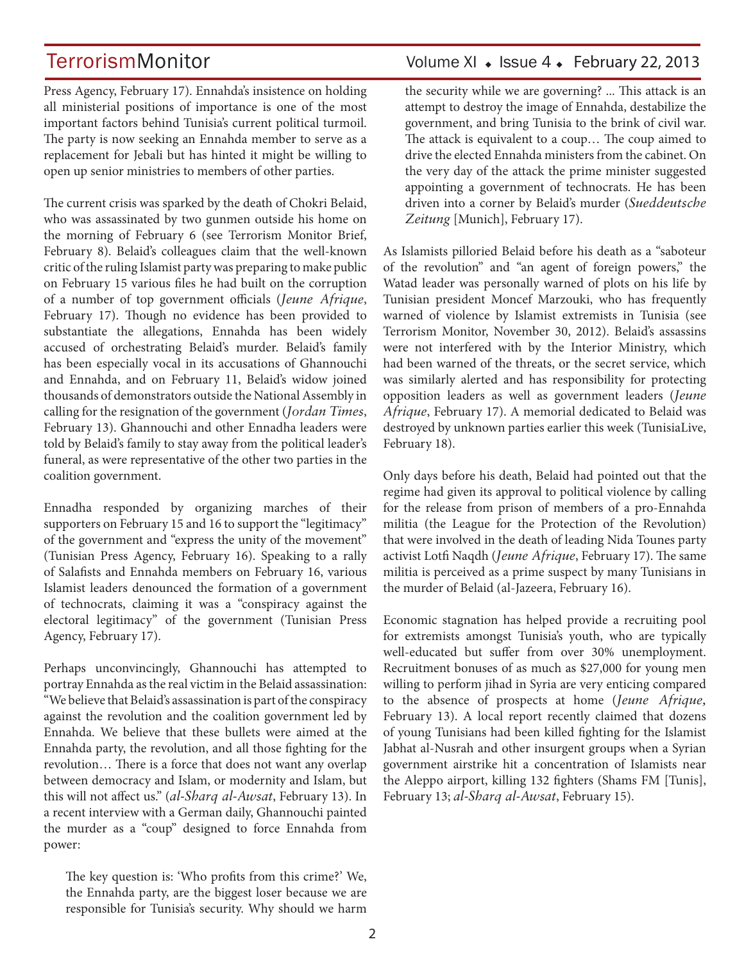Press Agency, February 17). Ennahda's insistence on holding all ministerial positions of importance is one of the most important factors behind Tunisia's current political turmoil. The party is now seeking an Ennahda member to serve as a replacement for Jebali but has hinted it might be willing to open up senior ministries to members of other parties.

The current crisis was sparked by the death of Chokri Belaid, who was assassinated by two gunmen outside his home on the morning of February 6 (see Terrorism Monitor Brief, February 8). Belaid's colleagues claim that the well-known critic of the ruling Islamist party was preparing to make public on February 15 various files he had built on the corruption of a number of top government officials (*Jeune Afrique*, February 17). Though no evidence has been provided to substantiate the allegations, Ennahda has been widely accused of orchestrating Belaid's murder. Belaid's family has been especially vocal in its accusations of Ghannouchi and Ennahda, and on February 11, Belaid's widow joined thousands of demonstrators outside the National Assembly in calling for the resignation of the government (*Jordan Times*, February 13). Ghannouchi and other Ennadha leaders were told by Belaid's family to stay away from the political leader's funeral, as were representative of the other two parties in the coalition government.

Ennadha responded by organizing marches of their supporters on February 15 and 16 to support the "legitimacy" of the government and "express the unity of the movement" (Tunisian Press Agency, February 16). Speaking to a rally of Salafists and Ennahda members on February 16, various Islamist leaders denounced the formation of a government of technocrats, claiming it was a "conspiracy against the electoral legitimacy" of the government (Tunisian Press Agency, February 17).

Perhaps unconvincingly, Ghannouchi has attempted to portray Ennahda as the real victim in the Belaid assassination: "We believe that Belaid's assassination is part of the conspiracy against the revolution and the coalition government led by Ennahda. We believe that these bullets were aimed at the Ennahda party, the revolution, and all those fighting for the revolution… There is a force that does not want any overlap between democracy and Islam, or modernity and Islam, but this will not affect us." (*al-Sharq al-Awsat*, February 13). In a recent interview with a German daily, Ghannouchi painted the murder as a "coup" designed to force Ennahda from power:

The key question is: 'Who profits from this crime?' We, the Ennahda party, are the biggest loser because we are responsible for Tunisia's security. Why should we harm

## TerrorismMonitor Volume XI • Issue 4 • February 22, 2013

the security while we are governing? ... This attack is an attempt to destroy the image of Ennahda, destabilize the government, and bring Tunisia to the brink of civil war. The attack is equivalent to a coup… The coup aimed to drive the elected Ennahda ministers from the cabinet. On the very day of the attack the prime minister suggested appointing a government of technocrats. He has been driven into a corner by Belaid's murder (*Sueddeutsche Zeitung* [Munich], February 17).

As Islamists pilloried Belaid before his death as a "saboteur of the revolution" and "an agent of foreign powers," the Watad leader was personally warned of plots on his life by Tunisian president Moncef Marzouki, who has frequently warned of violence by Islamist extremists in Tunisia (see Terrorism Monitor, November 30, 2012). Belaid's assassins were not interfered with by the Interior Ministry, which had been warned of the threats, or the secret service, which was similarly alerted and has responsibility for protecting opposition leaders as well as government leaders (*Jeune Afrique*, February 17). A memorial dedicated to Belaid was destroyed by unknown parties earlier this week (TunisiaLive, February 18).

Only days before his death, Belaid had pointed out that the regime had given its approval to political violence by calling for the release from prison of members of a pro-Ennahda militia (the League for the Protection of the Revolution) that were involved in the death of leading Nida Tounes party activist Lotfi Naqdh (*Jeune Afrique*, February 17). The same militia is perceived as a prime suspect by many Tunisians in the murder of Belaid (al-Jazeera, February 16).

Economic stagnation has helped provide a recruiting pool for extremists amongst Tunisia's youth, who are typically well-educated but suffer from over 30% unemployment. Recruitment bonuses of as much as \$27,000 for young men willing to perform jihad in Syria are very enticing compared to the absence of prospects at home (*Jeune Afrique,* February 13). A local report recently claimed that dozens of young Tunisians had been killed fighting for the Islamist Jabhat al-Nusrah and other insurgent groups when a Syrian government airstrike hit a concentration of Islamists near the Aleppo airport, killing 132 fighters (Shams FM [Tunis], February 13; *al-Sharq al-Awsat*, February 15).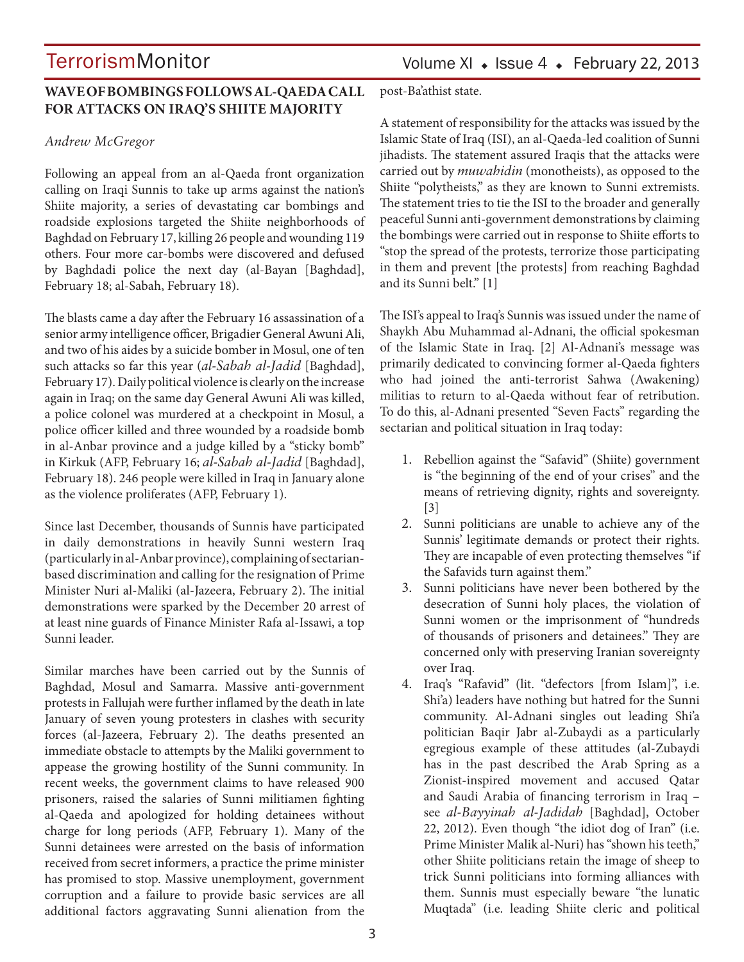### **WAVE OF BOMBINGS FOLLOWS AL-QAEDA CALL FOR ATTACKS ON IRAQ'S SHIITE MAJORITY**

#### *Andrew McGregor*

Following an appeal from an al-Qaeda front organization calling on Iraqi Sunnis to take up arms against the nation's Shiite majority, a series of devastating car bombings and roadside explosions targeted the Shiite neighborhoods of Baghdad on February 17, killing 26 people and wounding 119 others. Four more car-bombs were discovered and defused by Baghdadi police the next day (al-Bayan [Baghdad], February 18; al-Sabah, February 18).

The blasts came a day after the February 16 assassination of a senior army intelligence officer, Brigadier General Awuni Ali, and two of his aides by a suicide bomber in Mosul, one of ten such attacks so far this year (*al-Sabah al-Jadid* [Baghdad], February 17). Daily political violence is clearly on the increase again in Iraq; on the same day General Awuni Ali was killed, a police colonel was murdered at a checkpoint in Mosul, a police officer killed and three wounded by a roadside bomb in al-Anbar province and a judge killed by a "sticky bomb" in Kirkuk (AFP, February 16; *al-Sabah al-Jadid* [Baghdad], February 18). 246 people were killed in Iraq in January alone as the violence proliferates (AFP, February 1).

Since last December, thousands of Sunnis have participated in daily demonstrations in heavily Sunni western Iraq (particularly in al-Anbar province), complaining of sectarianbased discrimination and calling for the resignation of Prime Minister Nuri al-Maliki (al-Jazeera, February 2). The initial demonstrations were sparked by the December 20 arrest of at least nine guards of Finance Minister Rafa al-Issawi, a top Sunni leader.

Similar marches have been carried out by the Sunnis of Baghdad, Mosul and Samarra. Massive anti-government protests in Fallujah were further inflamed by the death in late January of seven young protesters in clashes with security forces (al-Jazeera, February 2). The deaths presented an immediate obstacle to attempts by the Maliki government to appease the growing hostility of the Sunni community. In recent weeks, the government claims to have released 900 prisoners, raised the salaries of Sunni militiamen fighting al-Qaeda and apologized for holding detainees without charge for long periods (AFP, February 1). Many of the Sunni detainees were arrested on the basis of information received from secret informers, a practice the prime minister has promised to stop. Massive unemployment, government corruption and a failure to provide basic services are all additional factors aggravating Sunni alienation from the Volume XI  $\bullet$  Issue 4  $\bullet$  February 22, 2013

post-Ba'athist state.

A statement of responsibility for the attacks was issued by the Islamic State of Iraq (ISI), an al-Qaeda-led coalition of Sunni jihadists. The statement assured Iraqis that the attacks were carried out by *muwahidin* (monotheists), as opposed to the Shiite "polytheists," as they are known to Sunni extremists. The statement tries to tie the ISI to the broader and generally peaceful Sunni anti-government demonstrations by claiming the bombings were carried out in response to Shiite efforts to "stop the spread of the protests, terrorize those participating in them and prevent [the protests] from reaching Baghdad and its Sunni belt." [1]

The ISI's appeal to Iraq's Sunnis was issued under the name of Shaykh Abu Muhammad al-Adnani, the official spokesman of the Islamic State in Iraq. [2] Al-Adnani's message was primarily dedicated to convincing former al-Qaeda fighters who had joined the anti-terrorist Sahwa (Awakening) militias to return to al-Qaeda without fear of retribution. To do this, al-Adnani presented "Seven Facts" regarding the sectarian and political situation in Iraq today:

- 1. Rebellion against the "Safavid" (Shiite) government is "the beginning of the end of your crises" and the means of retrieving dignity, rights and sovereignty. [3]
- 2. Sunni politicians are unable to achieve any of the Sunnis' legitimate demands or protect their rights. They are incapable of even protecting themselves "if the Safavids turn against them."
- 3. Sunni politicians have never been bothered by the desecration of Sunni holy places, the violation of Sunni women or the imprisonment of "hundreds of thousands of prisoners and detainees." They are concerned only with preserving Iranian sovereignty over Iraq.
- 4. Iraq's "Rafavid" (lit. "defectors [from Islam]", i.e. Shi'a) leaders have nothing but hatred for the Sunni community. Al-Adnani singles out leading Shi'a politician Baqir Jabr al-Zubaydi as a particularly egregious example of these attitudes (al-Zubaydi has in the past described the Arab Spring as a Zionist-inspired movement and accused Qatar and Saudi Arabia of financing terrorism in Iraq – see *al-Bayyinah al-Jadidah* [Baghdad], October 22, 2012). Even though "the idiot dog of Iran" (i.e. Prime Minister Malik al-Nuri) has "shown his teeth," other Shiite politicians retain the image of sheep to trick Sunni politicians into forming alliances with them. Sunnis must especially beware "the lunatic Muqtada" (i.e. leading Shiite cleric and political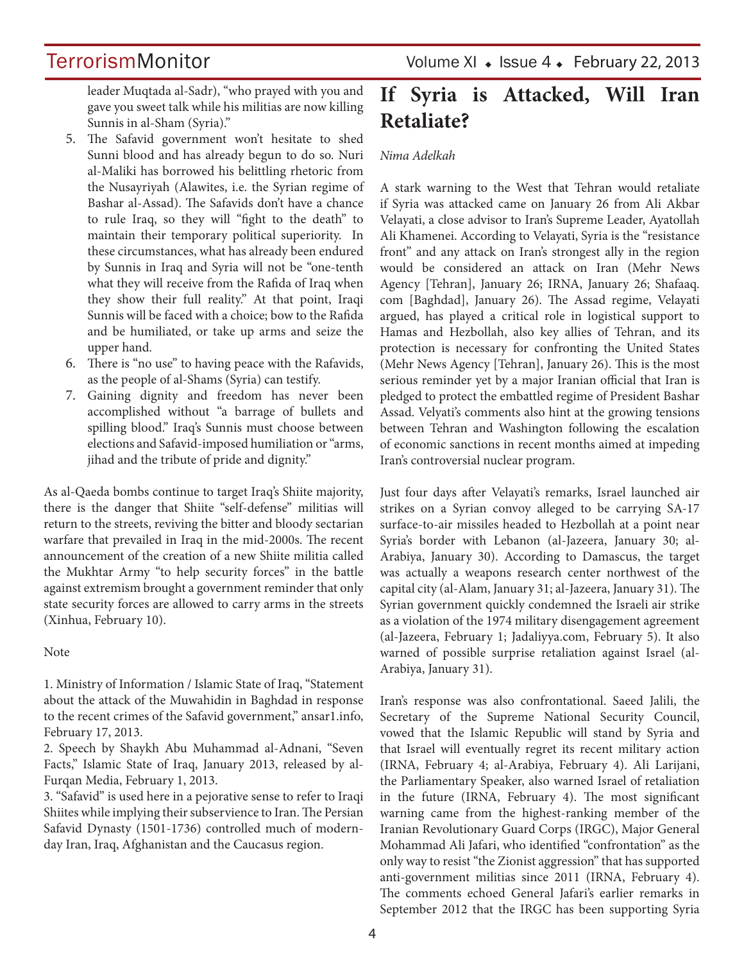leader Muqtada al-Sadr), "who prayed with you and gave you sweet talk while his militias are now killing Sunnis in al-Sham (Syria)."

- 5. The Safavid government won't hesitate to shed Sunni blood and has already begun to do so. Nuri al-Maliki has borrowed his belittling rhetoric from the Nusayriyah (Alawites, i.e. the Syrian regime of Bashar al-Assad). The Safavids don't have a chance to rule Iraq, so they will "fight to the death" to maintain their temporary political superiority. In these circumstances, what has already been endured by Sunnis in Iraq and Syria will not be "one-tenth what they will receive from the Rafida of Iraq when they show their full reality." At that point, Iraqi Sunnis will be faced with a choice; bow to the Rafida and be humiliated, or take up arms and seize the upper hand.
- 6. There is "no use" to having peace with the Rafavids, as the people of al-Shams (Syria) can testify.
- 7. Gaining dignity and freedom has never been accomplished without "a barrage of bullets and spilling blood." Iraq's Sunnis must choose between elections and Safavid-imposed humiliation or "arms, jihad and the tribute of pride and dignity."

As al-Qaeda bombs continue to target Iraq's Shiite majority, there is the danger that Shiite "self-defense" militias will return to the streets, reviving the bitter and bloody sectarian warfare that prevailed in Iraq in the mid-2000s. The recent announcement of the creation of a new Shiite militia called the Mukhtar Army "to help security forces" in the battle against extremism brought a government reminder that only state security forces are allowed to carry arms in the streets (Xinhua, February 10).

#### Note

1. Ministry of Information / Islamic State of Iraq, "Statement about the attack of the Muwahidin in Baghdad in response to the recent crimes of the Safavid government," ansar1.info, February 17, 2013.

2. Speech by Shaykh Abu Muhammad al-Adnani, "Seven Facts," Islamic State of Iraq, January 2013, released by al-Furqan Media, February 1, 2013.

3. "Safavid" is used here in a pejorative sense to refer to Iraqi Shiites while implying their subservience to Iran. The Persian Safavid Dynasty (1501-1736) controlled much of modernday Iran, Iraq, Afghanistan and the Caucasus region.

TerrorismMonitor Volume XI + Issue 4 + February 22, 2013

## **If Syria is Attacked, Will Iran Retaliate?**

#### *Nima Adelkah*

A stark warning to the West that Tehran would retaliate if Syria was attacked came on January 26 from Ali Akbar Velayati, a close advisor to Iran's Supreme Leader, Ayatollah Ali Khamenei. According to Velayati, Syria is the "resistance front" and any attack on Iran's strongest ally in the region would be considered an attack on Iran (Mehr News Agency [Tehran], January 26; IRNA, January 26; Shafaaq. com [Baghdad], January 26). The Assad regime, Velayati argued, has played a critical role in logistical support to Hamas and Hezbollah, also key allies of Tehran, and its protection is necessary for confronting the United States (Mehr News Agency [Tehran], January 26). This is the most serious reminder yet by a major Iranian official that Iran is pledged to protect the embattled regime of President Bashar Assad. Velyati's comments also hint at the growing tensions between Tehran and Washington following the escalation of economic sanctions in recent months aimed at impeding Iran's controversial nuclear program.

Just four days after Velayati's remarks, Israel launched air strikes on a Syrian convoy alleged to be carrying SA-17 surface-to-air missiles headed to Hezbollah at a point near Syria's border with Lebanon (al-Jazeera, January 30; al-Arabiya, January 30). According to Damascus, the target was actually a weapons research center northwest of the capital city (al-Alam, January 31; al-Jazeera, January 31). The Syrian government quickly condemned the Israeli air strike as a violation of the 1974 military disengagement agreement (al-Jazeera, February 1; Jadaliyya.com, February 5). It also warned of possible surprise retaliation against Israel (al-Arabiya, January 31).

Iran's response was also confrontational. Saeed Jalili, the Secretary of the Supreme National Security Council, vowed that the Islamic Republic will stand by Syria and that Israel will eventually regret its recent military action (IRNA, February 4; al-Arabiya, February 4). Ali Larijani, the Parliamentary Speaker, also warned Israel of retaliation in the future (IRNA, February 4). The most significant warning came from the highest-ranking member of the Iranian Revolutionary Guard Corps (IRGC), Major General Mohammad Ali Jafari, who identified "confrontation" as the only way to resist "the Zionist aggression" that has supported anti-government militias since 2011 (IRNA, February 4). The comments echoed General Jafari's earlier remarks in September 2012 that the IRGC has been supporting Syria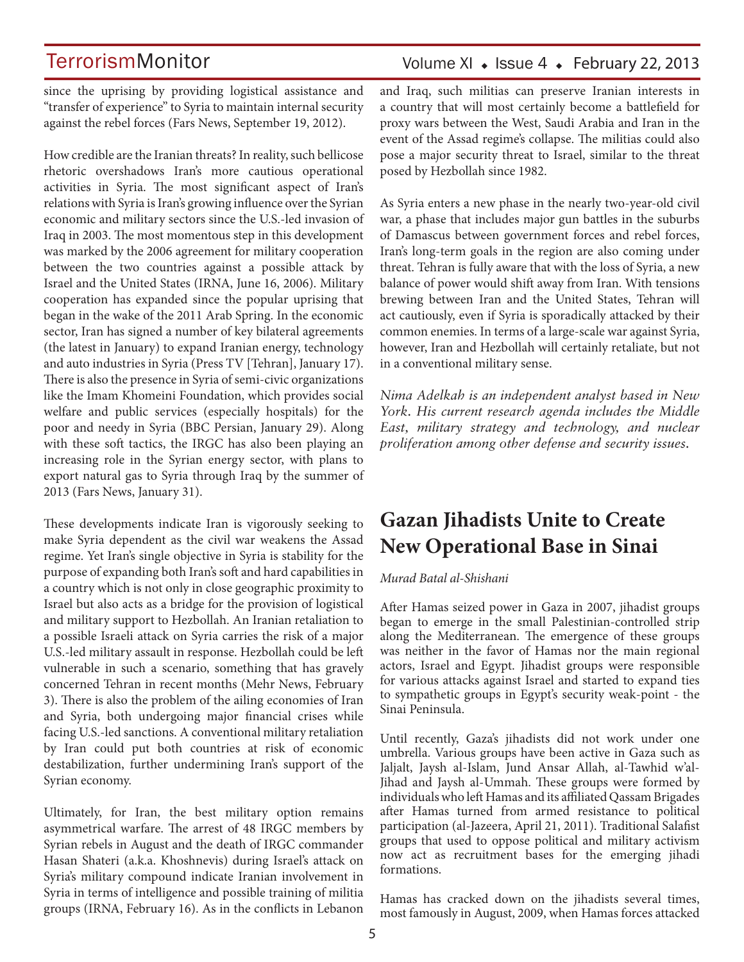### Volume XI  $\bullet$  Issue 4  $\bullet$  February 22, 2013

since the uprising by providing logistical assistance and "transfer of experience" to Syria to maintain internal security against the rebel forces (Fars News, September 19, 2012).

How credible are the Iranian threats? In reality, such bellicose rhetoric overshadows Iran's more cautious operational activities in Syria. The most significant aspect of Iran's relations with Syria is Iran's growing influence over the Syrian economic and military sectors since the U.S.-led invasion of Iraq in 2003. The most momentous step in this development was marked by the 2006 agreement for military cooperation between the two countries against a possible attack by Israel and the United States (IRNA, June 16, 2006). Military cooperation has expanded since the popular uprising that began in the wake of the 2011 Arab Spring. In the economic sector, Iran has signed a number of key bilateral agreements (the latest in January) to expand Iranian energy, technology and auto industries in Syria (Press TV [Tehran], January 17). There is also the presence in Syria of semi-civic organizations like the Imam Khomeini Foundation, which provides social welfare and public services (especially hospitals) for the poor and needy in Syria (BBC Persian, January 29). Along with these soft tactics, the IRGC has also been playing an increasing role in the Syrian energy sector, with plans to export natural gas to Syria through Iraq by the summer of 2013 (Fars News, January 31).

These developments indicate Iran is vigorously seeking to make Syria dependent as the civil war weakens the Assad regime. Yet Iran's single objective in Syria is stability for the purpose of expanding both Iran's soft and hard capabilities in a country which is not only in close geographic proximity to Israel but also acts as a bridge for the provision of logistical and military support to Hezbollah. An Iranian retaliation to a possible Israeli attack on Syria carries the risk of a major U.S.-led military assault in response. Hezbollah could be left vulnerable in such a scenario, something that has gravely concerned Tehran in recent months (Mehr News, February 3). There is also the problem of the ailing economies of Iran and Syria, both undergoing major financial crises while facing U.S.-led sanctions. A conventional military retaliation by Iran could put both countries at risk of economic destabilization, further undermining Iran's support of the Syrian economy.

Ultimately, for Iran, the best military option remains asymmetrical warfare. The arrest of 48 IRGC members by Syrian rebels in August and the death of IRGC commander Hasan Shateri (a.k.a. Khoshnevis) during Israel's attack on Syria's military compound indicate Iranian involvement in Syria in terms of intelligence and possible training of militia groups (IRNA, February 16). As in the conflicts in Lebanon and Iraq, such militias can preserve Iranian interests in a country that will most certainly become a battlefield for proxy wars between the West, Saudi Arabia and Iran in the event of the Assad regime's collapse. The militias could also pose a major security threat to Israel, similar to the threat posed by Hezbollah since 1982.

As Syria enters a new phase in the nearly two-year-old civil war, a phase that includes major gun battles in the suburbs of Damascus between government forces and rebel forces, Iran's long-term goals in the region are also coming under threat. Tehran is fully aware that with the loss of Syria, a new balance of power would shift away from Iran. With tensions brewing between Iran and the United States, Tehran will act cautiously, even if Syria is sporadically attacked by their common enemies. In terms of a large-scale war against Syria, however, Iran and Hezbollah will certainly retaliate, but not in a conventional military sense.

*Nima Adelkah is an independent analyst based in New York. His current research agenda includes the Middle East, military strategy and technology, and nuclear proliferation among other defense and security issues.*

## **Gazan Jihadists Unite to Create New Operational Base in Sinai**

#### *Murad Batal al-Shishani*

After Hamas seized power in Gaza in 2007, jihadist groups began to emerge in the small Palestinian-controlled strip along the Mediterranean. The emergence of these groups was neither in the favor of Hamas nor the main regional actors, Israel and Egypt. Jihadist groups were responsible for various attacks against Israel and started to expand ties to sympathetic groups in Egypt's security weak-point - the Sinai Peninsula.

Until recently, Gaza's jihadists did not work under one umbrella. Various groups have been active in Gaza such as Jaljalt, Jaysh al-Islam, Jund Ansar Allah, al-Tawhid w'al-Jihad and Jaysh al-Ummah. These groups were formed by individuals who left Hamas and its affiliated Qassam Brigades after Hamas turned from armed resistance to political participation (al-Jazeera, April 21, 2011). Traditional Salafist groups that used to oppose political and military activism now act as recruitment bases for the emerging jihadi formations.

Hamas has cracked down on the jihadists several times, most famously in August, 2009, when Hamas forces attacked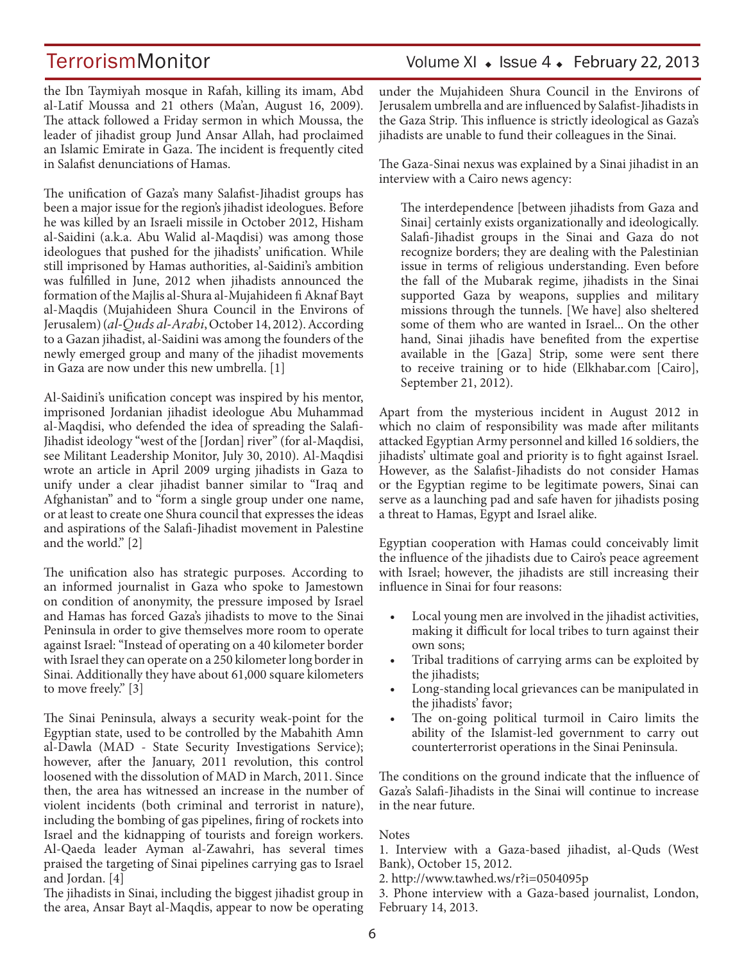the Ibn Taymiyah mosque in Rafah, killing its imam, Abd al-Latif Moussa and 21 others (Ma'an, August 16, 2009). The attack followed a Friday sermon in which Moussa, the leader of jihadist group Jund Ansar Allah, had proclaimed an Islamic Emirate in Gaza. The incident is frequently cited in Salafist denunciations of Hamas.

The unification of Gaza's many Salafist-Jihadist groups has been a major issue for the region's jihadist ideologues. Before he was killed by an Israeli missile in October 2012, Hisham al-Saidini (a.k.a. Abu Walid al-Maqdisi) was among those ideologues that pushed for the jihadists' unification. While still imprisoned by Hamas authorities, al-Saidini's ambition was fulfilled in June, 2012 when jihadists announced the formation of the Majlis al-Shura al-Mujahideen fi Aknaf Bayt al-Maqdis (Mujahideen Shura Council in the Environs of Jerusalem) (*al-Quds al-Arabi*, October 14, 2012). According to a Gazan jihadist, al-Saidini was among the founders of the newly emerged group and many of the jihadist movements in Gaza are now under this new umbrella. [1]

Al-Saidini's unification concept was inspired by his mentor, imprisoned Jordanian jihadist ideologue Abu Muhammad al-Maqdisi, who defended the idea of spreading the Salafi-Jihadist ideology "west of the [Jordan] river" (for al-Maqdisi, see Militant Leadership Monitor, July 30, 2010). Al-Maqdisi wrote an article in April 2009 urging jihadists in Gaza to unify under a clear jihadist banner similar to "Iraq and Afghanistan" and to "form a single group under one name, or at least to create one Shura council that expresses the ideas and aspirations of the Salafi-Jihadist movement in Palestine and the world." [2]

The unification also has strategic purposes. According to an informed journalist in Gaza who spoke to Jamestown on condition of anonymity, the pressure imposed by Israel and Hamas has forced Gaza's jihadists to move to the Sinai Peninsula in order to give themselves more room to operate against Israel: "Instead of operating on a 40 kilometer border with Israel they can operate on a 250 kilometer long border in Sinai. Additionally they have about 61,000 square kilometers to move freely." [3]

The Sinai Peninsula, always a security weak-point for the Egyptian state, used to be controlled by the Mabahith Amn al-Dawla (MAD - State Security Investigations Service); however, after the January, 2011 revolution, this control loosened with the dissolution of MAD in March, 2011. Since then, the area has witnessed an increase in the number of violent incidents (both criminal and terrorist in nature), including the bombing of gas pipelines, firing of rockets into Israel and the kidnapping of tourists and foreign workers. Al-Qaeda leader Ayman al-Zawahri, has several times praised the targeting of Sinai pipelines carrying gas to Israel and Jordan. [4]

The jihadists in Sinai, including the biggest jihadist group in the area, Ansar Bayt al-Maqdis, appear to now be operating under the Mujahideen Shura Council in the Environs of Jerusalem umbrella and are influenced by Salafist-Jihadists in the Gaza Strip. This influence is strictly ideological as Gaza's jihadists are unable to fund their colleagues in the Sinai.

The Gaza-Sinai nexus was explained by a Sinai jihadist in an interview with a Cairo news agency:

The interdependence [between jihadists from Gaza and Sinai] certainly exists organizationally and ideologically. Salafi-Jihadist groups in the Sinai and Gaza do not recognize borders; they are dealing with the Palestinian issue in terms of religious understanding. Even before the fall of the Mubarak regime, jihadists in the Sinai supported Gaza by weapons, supplies and military missions through the tunnels. [We have] also sheltered some of them who are wanted in Israel... On the other hand, Sinai jihadis have benefited from the expertise available in the [Gaza] Strip, some were sent there to receive training or to hide (Elkhabar.com [Cairo], September 21, 2012).

Apart from the mysterious incident in August 2012 in which no claim of responsibility was made after militants attacked Egyptian Army personnel and killed 16 soldiers, the jihadists' ultimate goal and priority is to fight against Israel. However, as the Salafist-Jihadists do not consider Hamas or the Egyptian regime to be legitimate powers, Sinai can serve as a launching pad and safe haven for jihadists posing a threat to Hamas, Egypt and Israel alike.

Egyptian cooperation with Hamas could conceivably limit the influence of the jihadists due to Cairo's peace agreement with Israel; however, the jihadists are still increasing their influence in Sinai for four reasons:

- Local young men are involved in the jihadist activities, making it difficult for local tribes to turn against their own sons;
- Tribal traditions of carrying arms can be exploited by the jihadists;
- Long-standing local grievances can be manipulated in the jihadists' favor;
- The on-going political turmoil in Cairo limits the ability of the Islamist-led government to carry out counterterrorist operations in the Sinai Peninsula.

The conditions on the ground indicate that the influence of Gaza's Salafi-Jihadists in the Sinai will continue to increase in the near future.

#### **Notes**

1. Interview with a Gaza-based jihadist, al-Quds (West Bank), October 15, 2012.

2. http://www.tawhed.ws/r?i=0504095p

3. Phone interview with a Gaza-based journalist, London, February 14, 2013.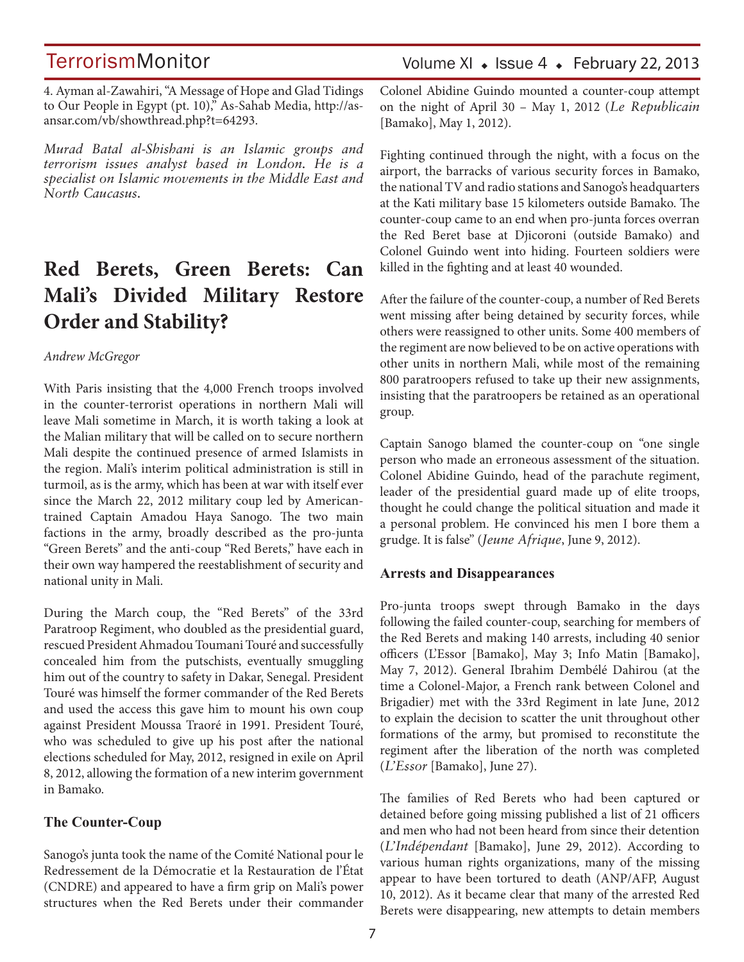4. Ayman al-Zawahiri, "A Message of Hope and Glad Tidings to Our People in Egypt (pt. 10)," As-Sahab Media, http://asansar.com/vb/showthread.php?t=64293.

*Murad Batal al-Shishani is an Islamic groups and terrorism issues analyst based in London. He is a specialist on Islamic movements in the Middle East and North Caucasus.*

## **Red Berets, Green Berets: Can Mali's Divided Military Restore Order and Stability?**

#### *Andrew McGregor*

With Paris insisting that the 4,000 French troops involved in the counter-terrorist operations in northern Mali will leave Mali sometime in March, it is worth taking a look at the Malian military that will be called on to secure northern Mali despite the continued presence of armed Islamists in the region. Mali's interim political administration is still in turmoil, as is the army, which has been at war with itself ever since the March 22, 2012 military coup led by Americantrained Captain Amadou Haya Sanogo. The two main factions in the army, broadly described as the pro-junta "Green Berets" and the anti-coup "Red Berets," have each in their own way hampered the reestablishment of security and national unity in Mali.

During the March coup, the "Red Berets" of the 33rd Paratroop Regiment, who doubled as the presidential guard, rescued President Ahmadou Toumani Touré and successfully concealed him from the putschists, eventually smuggling him out of the country to safety in Dakar, Senegal. President Touré was himself the former commander of the Red Berets and used the access this gave him to mount his own coup against President Moussa Traoré in 1991. President Touré, who was scheduled to give up his post after the national elections scheduled for May, 2012, resigned in exile on April 8, 2012, allowing the formation of a new interim government in Bamako.

#### **The Counter-Coup**

Sanogo's junta took the name of the Comité National pour le Redressement de la Démocratie et la Restauration de l'État (CNDRE) and appeared to have a firm grip on Mali's power structures when the Red Berets under their commander

### Volume XI  $\bullet$  Issue 4  $\bullet$  February 22, 2013

Colonel Abidine Guindo mounted a counter-coup attempt on the night of April 30 – May 1, 2012 (*Le Republicain*  [Bamako], May 1, 2012).

Fighting continued through the night, with a focus on the airport, the barracks of various security forces in Bamako, the national TV and radio stations and Sanogo's headquarters at the Kati military base 15 kilometers outside Bamako. The counter-coup came to an end when pro-junta forces overran the Red Beret base at Djicoroni (outside Bamako) and Colonel Guindo went into hiding. Fourteen soldiers were killed in the fighting and at least 40 wounded.

After the failure of the counter-coup, a number of Red Berets went missing after being detained by security forces, while others were reassigned to other units. Some 400 members of the regiment are now believed to be on active operations with other units in northern Mali, while most of the remaining 800 paratroopers refused to take up their new assignments, insisting that the paratroopers be retained as an operational group.

Captain Sanogo blamed the counter-coup on "one single person who made an erroneous assessment of the situation. Colonel Abidine Guindo, head of the parachute regiment, leader of the presidential guard made up of elite troops, thought he could change the political situation and made it a personal problem. He convinced his men I bore them a grudge. It is false" (*Jeune Afrique*, June 9, 2012).

#### **Arrests and Disappearances**

Pro-junta troops swept through Bamako in the days following the failed counter-coup, searching for members of the Red Berets and making 140 arrests, including 40 senior officers (L'Essor [Bamako], May 3; Info Matin [Bamako], May 7, 2012). General Ibrahim Dembélé Dahirou (at the time a Colonel-Major, a French rank between Colonel and Brigadier) met with the 33rd Regiment in late June, 2012 to explain the decision to scatter the unit throughout other formations of the army, but promised to reconstitute the regiment after the liberation of the north was completed (*L'Essor* [Bamako], June 27).

The families of Red Berets who had been captured or detained before going missing published a list of 21 officers and men who had not been heard from since their detention (*L'Indépendant* [Bamako], June 29, 2012). According to various human rights organizations, many of the missing appear to have been tortured to death (ANP/AFP, August 10, 2012). As it became clear that many of the arrested Red Berets were disappearing, new attempts to detain members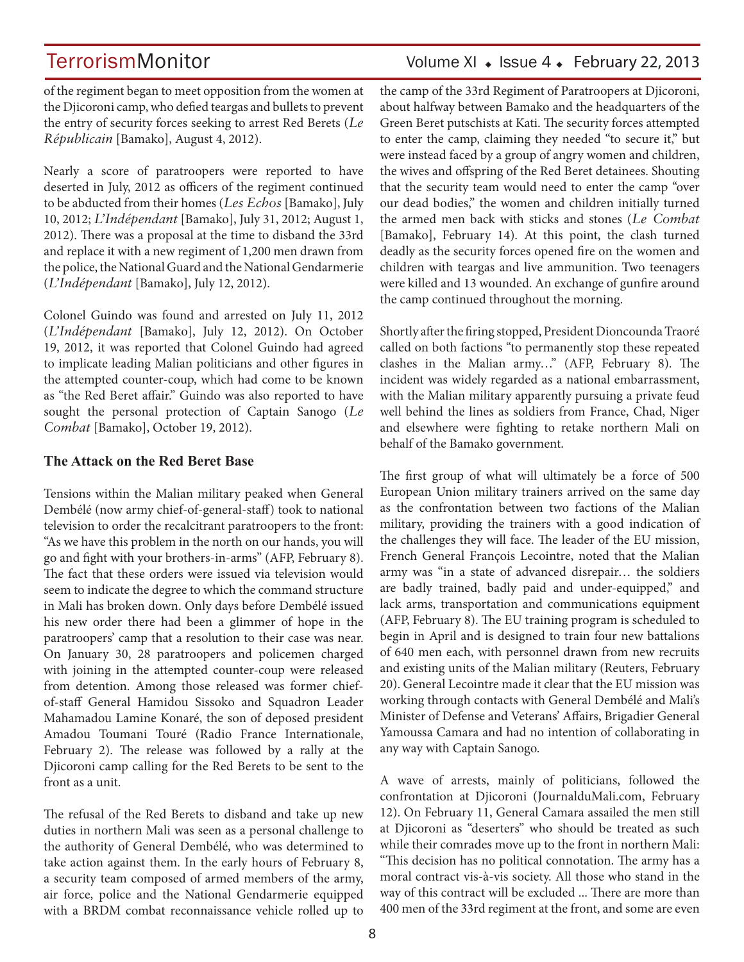## TerrorismMonitor Volume XI • Issue 4 • February 22, 2013

of the regiment began to meet opposition from the women at the Djicoroni camp, who defied teargas and bullets to prevent the entry of security forces seeking to arrest Red Berets (*Le Républicain* [Bamako], August 4, 2012).

Nearly a score of paratroopers were reported to have deserted in July, 2012 as officers of the regiment continued to be abducted from their homes (*Les Echos* [Bamako], July 10, 2012; *L'Indépendant* [Bamako], July 31, 2012; August 1, 2012). There was a proposal at the time to disband the 33rd and replace it with a new regiment of 1,200 men drawn from the police, the National Guard and the National Gendarmerie (*L'Indépendant* [Bamako], July 12, 2012).

Colonel Guindo was found and arrested on July 11, 2012 (*L'Indépendant* [Bamako], July 12, 2012). On October 19, 2012, it was reported that Colonel Guindo had agreed to implicate leading Malian politicians and other figures in the attempted counter-coup, which had come to be known as "the Red Beret affair." Guindo was also reported to have sought the personal protection of Captain Sanogo (*Le Combat* [Bamako], October 19, 2012).

#### **The Attack on the Red Beret Base**

Tensions within the Malian military peaked when General Dembélé (now army chief-of-general-staff) took to national television to order the recalcitrant paratroopers to the front: "As we have this problem in the north on our hands, you will go and fight with your brothers-in-arms" (AFP, February 8). The fact that these orders were issued via television would seem to indicate the degree to which the command structure in Mali has broken down. Only days before Dembélé issued his new order there had been a glimmer of hope in the paratroopers' camp that a resolution to their case was near. On January 30, 28 paratroopers and policemen charged with joining in the attempted counter-coup were released from detention. Among those released was former chiefof-staff General Hamidou Sissoko and Squadron Leader Mahamadou Lamine Konaré, the son of deposed president Amadou Toumani Touré (Radio France Internationale, February 2). The release was followed by a rally at the Djicoroni camp calling for the Red Berets to be sent to the front as a unit.

The refusal of the Red Berets to disband and take up new duties in northern Mali was seen as a personal challenge to the authority of General Dembélé, who was determined to take action against them. In the early hours of February 8, a security team composed of armed members of the army, air force, police and the National Gendarmerie equipped with a BRDM combat reconnaissance vehicle rolled up to the camp of the 33rd Regiment of Paratroopers at Djicoroni, about halfway between Bamako and the headquarters of the Green Beret putschists at Kati. The security forces attempted to enter the camp, claiming they needed "to secure it," but were instead faced by a group of angry women and children, the wives and offspring of the Red Beret detainees. Shouting that the security team would need to enter the camp "over our dead bodies," the women and children initially turned the armed men back with sticks and stones (*Le Combat*  [Bamako], February 14). At this point, the clash turned deadly as the security forces opened fire on the women and children with teargas and live ammunition. Two teenagers were killed and 13 wounded. An exchange of gunfire around the camp continued throughout the morning.

Shortly after the firing stopped, President Dioncounda Traoré called on both factions "to permanently stop these repeated clashes in the Malian army…" (AFP, February 8). The incident was widely regarded as a national embarrassment, with the Malian military apparently pursuing a private feud well behind the lines as soldiers from France, Chad, Niger and elsewhere were fighting to retake northern Mali on behalf of the Bamako government.

The first group of what will ultimately be a force of 500 European Union military trainers arrived on the same day as the confrontation between two factions of the Malian military, providing the trainers with a good indication of the challenges they will face. The leader of the EU mission, French General François Lecointre, noted that the Malian army was "in a state of advanced disrepair… the soldiers are badly trained, badly paid and under-equipped," and lack arms, transportation and communications equipment (AFP, February 8). The EU training program is scheduled to begin in April and is designed to train four new battalions of 640 men each, with personnel drawn from new recruits and existing units of the Malian military (Reuters, February 20). General Lecointre made it clear that the EU mission was working through contacts with General Dembélé and Mali's Minister of Defense and Veterans' Affairs, Brigadier General Yamoussa Camara and had no intention of collaborating in any way with Captain Sanogo.

A wave of arrests, mainly of politicians, followed the confrontation at Djicoroni (JournalduMali.com, February 12). On February 11, General Camara assailed the men still at Djicoroni as "deserters" who should be treated as such while their comrades move up to the front in northern Mali: "This decision has no political connotation. The army has a moral contract vis-à-vis society. All those who stand in the way of this contract will be excluded ... There are more than 400 men of the 33rd regiment at the front, and some are even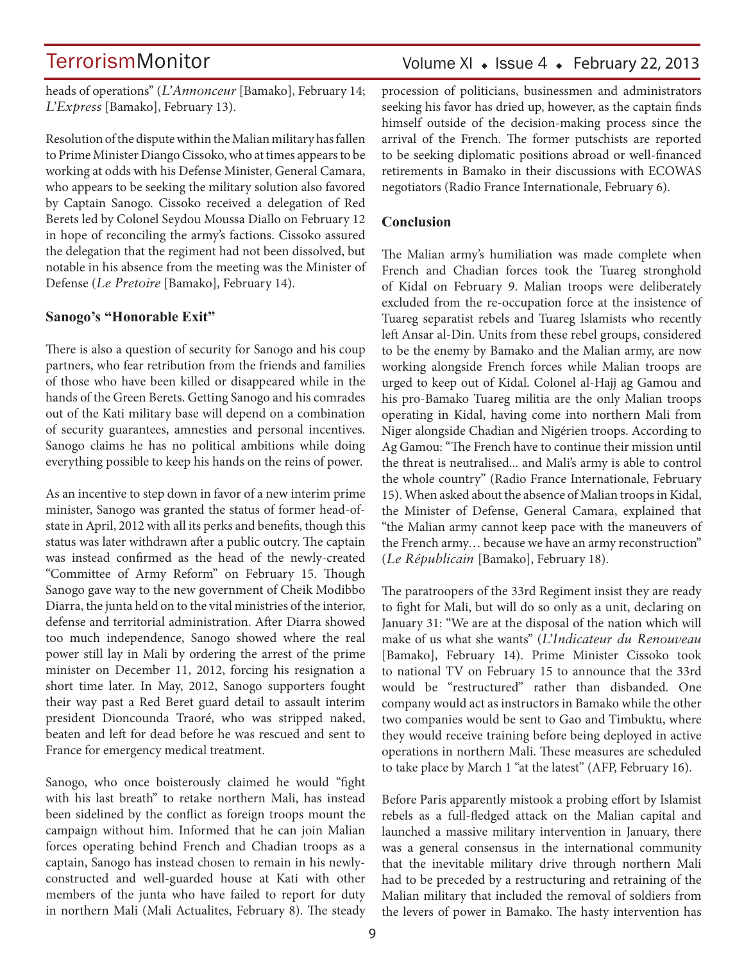heads of operations" (*L'Annonceur* [Bamako], February 14; *L'Express* [Bamako], February 13).

Resolution of the dispute within the Malian military has fallen to Prime Minister Diango Cissoko, who at times appears to be working at odds with his Defense Minister, General Camara, who appears to be seeking the military solution also favored by Captain Sanogo. Cissoko received a delegation of Red Berets led by Colonel Seydou Moussa Diallo on February 12 in hope of reconciling the army's factions. Cissoko assured the delegation that the regiment had not been dissolved, but notable in his absence from the meeting was the Minister of Defense (*Le Pretoire* [Bamako], February 14).

#### **Sanogo's "Honorable Exit"**

There is also a question of security for Sanogo and his coup partners, who fear retribution from the friends and families of those who have been killed or disappeared while in the hands of the Green Berets. Getting Sanogo and his comrades out of the Kati military base will depend on a combination of security guarantees, amnesties and personal incentives. Sanogo claims he has no political ambitions while doing everything possible to keep his hands on the reins of power.

As an incentive to step down in favor of a new interim prime minister, Sanogo was granted the status of former head-ofstate in April, 2012 with all its perks and benefits, though this status was later withdrawn after a public outcry. The captain was instead confirmed as the head of the newly-created "Committee of Army Reform" on February 15. Though Sanogo gave way to the new government of Cheik Modibbo Diarra, the junta held on to the vital ministries of the interior, defense and territorial administration. After Diarra showed too much independence, Sanogo showed where the real power still lay in Mali by ordering the arrest of the prime minister on December 11, 2012, forcing his resignation a short time later. In May, 2012, Sanogo supporters fought their way past a Red Beret guard detail to assault interim president Dioncounda Traoré, who was stripped naked, beaten and left for dead before he was rescued and sent to France for emergency medical treatment.

Sanogo, who once boisterously claimed he would "fight with his last breath" to retake northern Mali, has instead been sidelined by the conflict as foreign troops mount the campaign without him. Informed that he can join Malian forces operating behind French and Chadian troops as a captain, Sanogo has instead chosen to remain in his newlyconstructed and well-guarded house at Kati with other members of the junta who have failed to report for duty in northern Mali (Mali Actualites, February 8). The steady procession of politicians, businessmen and administrators seeking his favor has dried up, however, as the captain finds himself outside of the decision-making process since the arrival of the French. The former putschists are reported to be seeking diplomatic positions abroad or well-financed retirements in Bamako in their discussions with ECOWAS negotiators (Radio France Internationale, February 6).

#### **Conclusion**

The Malian army's humiliation was made complete when French and Chadian forces took the Tuareg stronghold of Kidal on February 9. Malian troops were deliberately excluded from the re-occupation force at the insistence of Tuareg separatist rebels and Tuareg Islamists who recently left Ansar al-Din. Units from these rebel groups, considered to be the enemy by Bamako and the Malian army, are now working alongside French forces while Malian troops are urged to keep out of Kidal. Colonel al-Hajj ag Gamou and his pro-Bamako Tuareg militia are the only Malian troops operating in Kidal, having come into northern Mali from Niger alongside Chadian and Nigérien troops. According to Ag Gamou: "The French have to continue their mission until the threat is neutralised... and Mali's army is able to control the whole country" (Radio France Internationale, February 15). When asked about the absence of Malian troops in Kidal, the Minister of Defense, General Camara, explained that "the Malian army cannot keep pace with the maneuvers of the French army… because we have an army reconstruction" (*Le Républicain* [Bamako], February 18).

The paratroopers of the 33rd Regiment insist they are ready to fight for Mali, but will do so only as a unit, declaring on January 31: "We are at the disposal of the nation which will make of us what she wants" (*L'Indicateur du Renouveau* [Bamako], February 14). Prime Minister Cissoko took to national TV on February 15 to announce that the 33rd would be "restructured" rather than disbanded. One company would act as instructors in Bamako while the other two companies would be sent to Gao and Timbuktu, where they would receive training before being deployed in active operations in northern Mali. These measures are scheduled to take place by March 1 "at the latest" (AFP, February 16).

Before Paris apparently mistook a probing effort by Islamist rebels as a full-fledged attack on the Malian capital and launched a massive military intervention in January, there was a general consensus in the international community that the inevitable military drive through northern Mali had to be preceded by a restructuring and retraining of the Malian military that included the removal of soldiers from the levers of power in Bamako. The hasty intervention has

### Volume XI  $\bullet$  Issue 4  $\bullet$  February 22, 2013